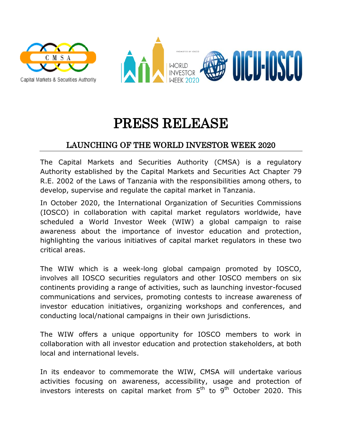



## PRESS RELEASE

## LAUNCHING OF THE WORLD INVESTOR WEEK 2020

The Capital Markets and Securities Authority (CMSA) is a regulatory Authority established by the Capital Markets and Securities Act Chapter 79 R.E. 2002 of the Laws of Tanzania with the responsibilities among others, to develop, supervise and regulate the capital market in Tanzania.

In October 2020, the International Organization of Securities Commissions (IOSCO) in collaboration with capital market regulators worldwide, have scheduled a World Investor Week (WIW) a global campaign to raise awareness about the importance of investor education and protection, highlighting the various initiatives of capital market regulators in these two critical areas.

The WIW which is a week-long global campaign promoted by IOSCO, involves all IOSCO securities regulators and other IOSCO members on six continents providing a range of activities, such as launching investor-focused communications and services, promoting contests to increase awareness of investor education initiatives, organizing workshops and conferences, and conducting local/national campaigns in their own jurisdictions.

The WIW offers a unique opportunity for IOSCO members to work in collaboration with all investor education and protection stakeholders, at both local and international levels.

In its endeavor to commemorate the WIW, CMSA will undertake various activities focusing on awareness, accessibility, usage and protection of investors interests on capital market from 5<sup>th</sup> to 9<sup>th</sup> October 2020. This